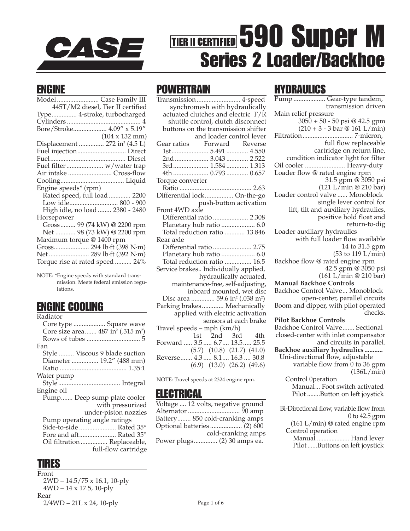

# THER II CERTIFIED 590 Super M Series 2 Loader/Backhoe

### ENGINE

| Model  Case Family III                    |
|-------------------------------------------|
| 445T/M2 diesel, Tier II certified         |
| Type 4-stroke, turbocharged               |
|                                           |
| Bore/Stroke 4.09" x 5.19"                 |
| $(104 \times 132 \text{ mm})$             |
| Displacement  272 in <sup>3</sup> (4.5 L) |
|                                           |
|                                           |
|                                           |
| Air intake  Cross-flow                    |
|                                           |
| Engine speeds* (rpm)                      |
| Rated speed, full load 2200               |
|                                           |
| High idle, no load  2380 - 2480           |
| Horsepower                                |
| Gross 99 (74 kW) @ 2200 rpm               |
| Net  98 (73 kW) @ 2200 rpm                |
| Maximum torque @ 1400 rpm                 |
|                                           |
| Net  289 lb·ft (392 N·m)                  |
| Torque rise at rated speed  24%           |
|                                           |

NOTE: \*Engine speeds with standard transmission. Meets federal emission regulations.

### ENGINE COOLING

Radiator

| Kaulatt)                                                  |
|-----------------------------------------------------------|
| Core type  Square wave                                    |
| Core size area 487 in <sup>2</sup> (.315 m <sup>2</sup> ) |
|                                                           |
| Fan                                                       |
| Style  Viscous 9 blade suction                            |
| Diameter  19.2" (488 mm)                                  |
|                                                           |
| Water pump                                                |
|                                                           |
| Engine oil                                                |
| Pump Deep sump plate cooler                               |
| with pressurized                                          |
| under-piston nozzles                                      |
| Pump operating angle ratings                              |
|                                                           |
| Fore and aft Rated 35°                                    |
| Oil filtration  Replaceable,                              |
| full-flow cartridge                                       |

### TIRES

Front 2WD – 14.5/75 x 16.1, 10-ply 4WD – 14 x 17.5, 10-ply Rear 2/4WD – 21L x 24, 10-ply

### **POWFRTRAIN**

| Transmission  4-speed                                  |
|--------------------------------------------------------|
| synchromesh with hydraulically                         |
| actuated clutches and electric F/R                     |
| shuttle control, clutch disconnect                     |
| buttons on the transmission shifter                    |
| and loader control lever                               |
| Gear ratios Forward Reverse                            |
|                                                        |
|                                                        |
| 3rd 1.584 1.313                                        |
|                                                        |
| Torque converter                                       |
|                                                        |
| Differential lock On-the-go                            |
| push-button activation                                 |
| Front 4WD axle                                         |
| Differential ratio  2.308                              |
| Planetary hub ratio  6.0                               |
| Total reduction ratio  13.846                          |
| Rear axle                                              |
| Differential ratio  2.75                               |
| Planetary hub ratio  6.0                               |
| Total reduction ratio  16.5                            |
| Service brakes Individually applied,                   |
| hydraulically actuated,                                |
| maintenance-free, self-adjusting,                      |
| inboard mounted, wet disc                              |
| Disc area  59.6 in <sup>2</sup> (.038 m <sup>2</sup> ) |
| Parking brakes Mechanically                            |
| applied with electric activation                       |
| sensors at each brake                                  |
| Travel speeds - mph (km/h)                             |
| 1st 2nd 3rd 4th                                        |
| Forward  3.5  6.7  13.5  25.5                          |
| $(5.7)$ $(10.8)$ $(21.7)$ $(41.0)$                     |
| Reverse 4.3 8.1 16.3 30.8                              |
| $(6.9)$ $(13.0)$ $(26.2)$ $(49.6)$                     |

NOTE: Travel speeds at 2324 engine rpm.

### **ELECTRICAL**

Voltage .... 12 volts, negative ground Alternator ............................... 90 amp Battery........ 850 cold-cranking amps Optional batteries ................... (2) 600 cold-cranking amps Power plugs.............. (2) 30 amps ea.

# HYDRAULICS

Pump ................... Gear-type tandem, transmission driven Main relief pressure 3050 + 50 - 50 psi @ 42.5 gpm  $(210 + 3 - 3 \text{ bar } @ 161 \text{ L/min})$ Filtration.............................. 7-micron, full flow replaceable cartridge on return line, condition indicator light for filter Oil cooler ........................ Heavy-duty Loader flow @ rated engine rpm 31.5 gpm @ 3050 psi (121 L/min @ 210 bar) Loader control valve ...... Monoblock single lever control for lift, tilt and auxiliary hydraulics, positive hold float and return-to-dig Loader auxiliary hydraulics with full loader flow available 14 to 31.5 gpm (53 to 119 L/min) Backhoe flow @ rated engine rpm 42.5 gpm @ 3050 psi (161 L/min @ 210 bar) **Manual Backhoe Controls** Backhoe Control Valve... Monoblock open-center, parallel circuits Boom and dipper, with pilot operated checks. **Pilot Backhoe Controls** Backhoe Control Valve....... Sectional closed-center with inlet compensator and circuits in parallel. **Backhoe auxiliary hydraulics ...........** Uni-directional flow, adjustable variable flow from 0 to 36 gpm (136L/min) Control 0peration Manual... Foot switch activated Pilot ........Button on left joystick Bi-Directional flow, variable flow from 0 to 42.5 gpm (161 L/min) @ rated engine rpm Control operation Manual .................... Hand lever Pilot ......Buttons on left joystick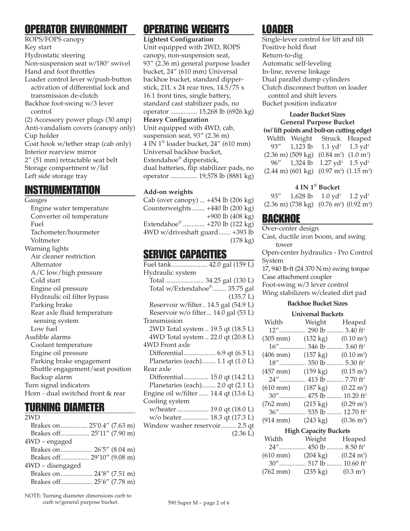# OPERATOR ENVIRONMENT

ROPS/FOPS canopy Key start Hydrostatic steering Non-suspension seat w/180° swivel Hand and foot throttles Loader control lever w/push-button activation of differential lock and transmission de-clutch Backhoe foot-swing w/3 lever control (2) Accessory power plugs (30 amp) Anti-vandalism covers (canopy only) Cup holder Coat hook w/tether strap (cab only) Interior rearview mirror 2" (51 mm) retractable seat belt Storage compartment w/lid Left side storage tray

# **INSTRUMENTATION**

#### Gauges

Engine water temperature Converter oil temperature Fuel Tachometer/hourmeter Voltmeter Warning lights Air cleaner restriction Alternator A/C low/high pressure Cold start Engine oil pressure Hydraulic oil filter bypass Parking brake Rear axle fluid temperature sensing system Low fuel Audible alarms Coolant temperature Engine oil pressure Parking brake engagement Shuttle engagement/seat position Backup alarm Turn signal indicators Horn - dual switched front & rear

### TURNING DIAMETER

| 2WD                        |  |  |
|----------------------------|--|--|
| Brakes on 25'0.4" (7.63 m) |  |  |
| Brakes off 25'11" (7.90 m) |  |  |
| $4WD$ – engaged            |  |  |
| Brakes on 26'5" (8.04 m)   |  |  |
| Brakes off 29'10" (9.08 m) |  |  |
| 4WD - disengaged           |  |  |
|                            |  |  |
|                            |  |  |
|                            |  |  |

NOTE: Turning diameter dimensions curb to curb w/general purpose bucket.

# OPERATING WEIGHTS

**Lightest Configuration** Unit equipped with 2WD, ROPS canopy, non-suspension seat, 93" (2.36 m) general purpose loader bucket, 24" (610 mm) Universal backhoe bucket, standard dipperstick, 21L x 24 rear tires,  $14.5/75$  x 16.1 front tires, single battery, standard cast stabilizer pads, no operator ................ 15,268 lb (6926 kg) **Heavy Configuration** Unit equipped with 4WD, cab, suspension seat, 93" (2.36 m) 4 IN 1® loader bucket, 24" (610 mm) Universal backhoe bucket, Extendahoe® dipperstick, dual batteries, flip stabilizer pads, no operator ................ 19,578 lb (8881 kg)

#### **Add-on weights**

Cab (over canopy) ... +454 lb (206 kg) Counterweights........ +440 lb (200 kg) +900 lb (408 kg) Extendahoe® ............. +270 lb (122 kg) 4WD w/driveshaft guard....... +393 lb (178 kg)

### SERVICE CAPACITIES

Fuel tank..................... 42.0 gal (159 L) Hydraulic system Total ....................... 34.25 gal (130 L) Total w/Extendahoe® ........ 35.75 gal (135.7 L) Reservoir w/filter.. 14.5 gal (54.9 L) Reservoir w/o filter... 14.0 gal (53 L) Transmission 2WD Total system .. 19.5 qt (18.5 L) 4WD Total system .. 22.0 qt (20.8 L) 4WD Front axle Differential................... 6.9 qt (6.5 L) Planetaries (each)........ 1.1 qt (1.0 L) Rear axle Differential............... 15.0 qt (14.2 L) Planetaries (each)........ 2.0 qt (2.1 L) Engine oil w/filter ...... 14.4 qt (13.6 L) Cooling system w/heater................... 19.0 qt (18.0 L) w/o heater................ 18.3 qt (17.3 L) Window washer reservoir......... 2.5 qt (2.36 L)

# LOADER

Single-lever control for lift and tilt Positive hold float Return-to-dig Automatic self-leveling In-line, reverse linkage Dual parallel dump cylinders Clutch disconnect button on loader control and shift levers Bucket position indicator

#### **Loader Bucket Sizes General Purpose Bucket**

**(w/ lift points and bolt-on cutting edge)** Width Weight Struck Heaped 93" 1,123 lb  $1.1$  yd<sup>3</sup> 1.3 yd<sup>3</sup> (2.36 m) (509 kg) (0.84 m<sup>3</sup>) (1.0 m<sup>3</sup>) 96" 1,324 lb 1.27 yd<sup>3</sup> 1.5 yd<sup>3</sup>  $(2.44 \text{ m}) (601 \text{ kg}) (0.97 \text{ m}^3) (1.15 \text{ m}^3)$ 

#### **4 IN 1® Bucket**

93" 1,628 lb 1.0 yd<sup>3</sup> 1.2 yd<sup>3</sup> (2.36 m) (738 kg) (0.76 m<sup>3</sup>) (0.92 m<sup>3</sup>)

### BACKHOE

Over-center design Cast, ductile iron boom, and swing tower Open-center hydraulics - Pro Control System 17, 940 lb·ft (24 370 N·m) swing torque Case attachment coupler Foot-swing w/3 lever control Wing stabilizers w/cleated dirt pad **Backhoe Bucket Sizes**

#### **Universal Buckets** Width Weight Heaped 12"................ 290 lb .......... 3.40 ft3  $(305 \text{ mm})$   $(132 \text{ kg})$  $(0.10 \text{ m}^3)$

| $(406 \; \text{mm})$ | $(157 \text{ kg})$ | $(0.10 \text{ m}^3)$            |
|----------------------|--------------------|---------------------------------|
| $18"$                |                    | 350 lb  5.30 ft <sup>3</sup>    |
| $(457 \; \text{mm})$ | $(159 \text{ kg})$ | $(0.15 \text{ m}^3)$            |
| 24"                  |                    | $.413$ lb  7.70 ft <sup>3</sup> |
| $(610 \text{ mm})$   | $(187 \text{ kg})$ | $(0.22 \text{ m}^3)$            |
| $30''$               | . 475 lb           | 10.20 $ft^3$                    |
| $(762 \text{ mm})$   | $(215 \text{ kg})$ | $(0.29 \text{ m}^3)$            |
| $36"$                | . 535 lb           | 12.70 $ft^3$                    |
| $(914 \text{ mm})$   | $(243 \text{ kg})$ | $(0.36 \text{ m}^3)$            |
|                      |                    |                                 |

#### **High Capacity Buckets**

| Width                | Weight                            | Heaped               |
|----------------------|-----------------------------------|----------------------|
|                      | 24" 450 lb  8.50 ft <sup>3</sup>  |                      |
| $(610 \text{ mm})$   | $(204 \text{ kg})$                | $(0.24 \text{ m}^3)$ |
|                      | 30" 517 lb  10.60 ft <sup>3</sup> |                      |
| $(762 \, \text{mm})$ | $(235 \text{ kg})$                | $(0.3 \text{ m}^3)$  |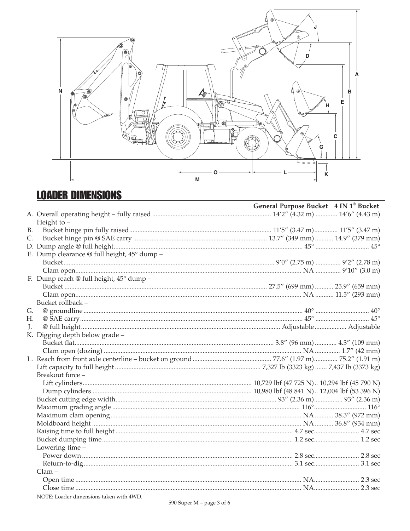

# **LOADER DIMENSIONS**

|           |                                             | General Purpose Bucket 4 IN 1 <sup>®</sup> Bucket |  |
|-----------|---------------------------------------------|---------------------------------------------------|--|
|           |                                             |                                                   |  |
|           | Height to $-$                               |                                                   |  |
| <b>B.</b> |                                             |                                                   |  |
| C.        |                                             |                                                   |  |
|           |                                             |                                                   |  |
|           | E. Dump clearance @ full height, 45° dump - |                                                   |  |
|           |                                             |                                                   |  |
|           |                                             |                                                   |  |
|           | F. Dump reach @ full height, 45° dump -     |                                                   |  |
|           |                                             |                                                   |  |
|           |                                             |                                                   |  |
|           | Bucket rollback -                           |                                                   |  |
| G.        |                                             |                                                   |  |
| Н.        |                                             |                                                   |  |
| L.        |                                             |                                                   |  |
|           | K. Digging depth below grade -              |                                                   |  |
|           |                                             |                                                   |  |
|           |                                             |                                                   |  |
|           |                                             |                                                   |  |
|           |                                             |                                                   |  |
|           | Breakout force -                            |                                                   |  |
|           |                                             |                                                   |  |
|           |                                             |                                                   |  |
|           |                                             |                                                   |  |
|           |                                             |                                                   |  |
|           |                                             |                                                   |  |
|           |                                             |                                                   |  |
|           |                                             |                                                   |  |
|           |                                             |                                                   |  |
|           | Lowering time -                             |                                                   |  |
|           |                                             |                                                   |  |
|           |                                             |                                                   |  |
|           | $Clam -$                                    |                                                   |  |
|           |                                             |                                                   |  |
|           |                                             |                                                   |  |
|           | NOTE: Loader dimensions taken with 4WD.     |                                                   |  |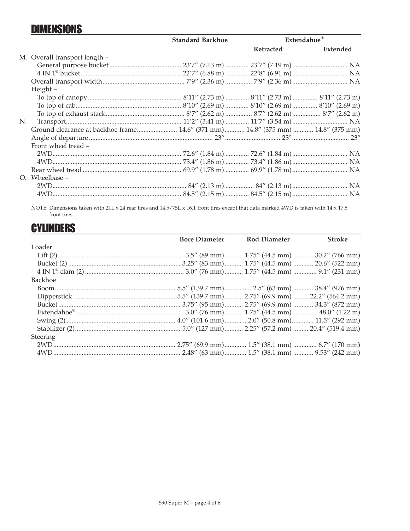# **DIMENSIONS**

|    |                                                                                 | <b>Standard Backhoe</b> |                  | Extendahoe® |
|----|---------------------------------------------------------------------------------|-------------------------|------------------|-------------|
|    |                                                                                 |                         | <b>Retracted</b> | Extended    |
|    | M. Overall transport length -                                                   |                         |                  |             |
|    |                                                                                 |                         |                  |             |
|    |                                                                                 |                         |                  |             |
|    |                                                                                 |                         |                  |             |
|    | $Height -$                                                                      |                         |                  |             |
|    |                                                                                 |                         |                  |             |
|    |                                                                                 |                         |                  |             |
|    |                                                                                 |                         |                  |             |
| N. |                                                                                 |                         |                  |             |
|    | Ground clearance at backhoe frame 14.6" (371 mm) 14.8" (375 mm)  14.8" (375 mm) |                         |                  |             |
|    |                                                                                 |                         |                  |             |
|    | Front wheel tread -                                                             |                         |                  |             |
|    |                                                                                 |                         |                  |             |
|    |                                                                                 |                         |                  |             |
|    |                                                                                 |                         |                  |             |
|    | $O.$ Wheelbase $-$                                                              |                         |                  |             |
|    |                                                                                 |                         |                  |             |
|    |                                                                                 |                         |                  |             |
|    |                                                                                 |                         |                  |             |

NOTE: Dimensions taken with 21L x 24 rear tires and 14.5/75L x 16.1 front tires except that data marked 4WD is taken with 14 x 17.5 front tires.

# **CYLINDERS**

|          | <b>Bore Diameter Rod Diameter</b> | <b>Stroke</b> |
|----------|-----------------------------------|---------------|
| Loader   |                                   |               |
|          |                                   |               |
|          |                                   |               |
|          |                                   |               |
| Backhoe  |                                   |               |
|          |                                   |               |
|          |                                   |               |
|          |                                   |               |
|          |                                   |               |
|          |                                   |               |
|          |                                   |               |
| Steering |                                   |               |
|          |                                   |               |
|          |                                   |               |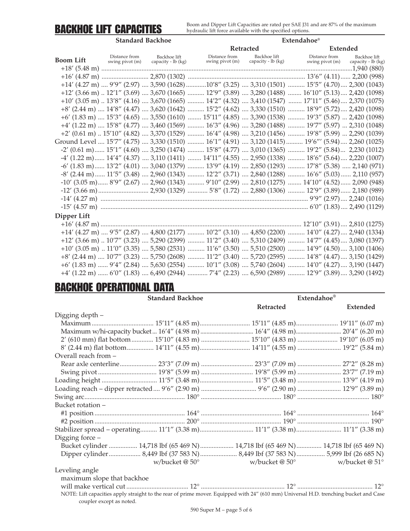# BACKHOE LIFT CAPACITIES

Boom and Dipper Lift Capacities are rated per SAE J31 and are 87% of the maximum hydraulic lift force available with the specified options.

|                  | <b>Standard Backhoe</b>          |                                    |                                                                                                                                                                       |                                    | <b>Extendahoe</b> ®              |                                    |  |
|------------------|----------------------------------|------------------------------------|-----------------------------------------------------------------------------------------------------------------------------------------------------------------------|------------------------------------|----------------------------------|------------------------------------|--|
|                  |                                  |                                    |                                                                                                                                                                       | Retracted                          |                                  | <b>Extended</b>                    |  |
| <b>Boom Lift</b> | Distance from<br>swing pivot (m) | Backhoe lift<br>capacity - lb (kg) | Distance from<br>swing pivot (m)                                                                                                                                      | Backhoe lift<br>capacity - lb (kg) | Distance from<br>swing pivot (m) | Backhoe lift<br>capacity - lb (kg) |  |
|                  |                                  |                                    |                                                                                                                                                                       |                                    |                                  |                                    |  |
|                  |                                  |                                    | +14' (4.27 m)  9'9" (2.97)  3,590 (1628) 10'8" (3.25)  3,310 (1501)  15'5" (4.70)  2,300 (1043)                                                                       |                                    |                                  |                                    |  |
|                  |                                  |                                    | +12' (3.66 m)  12'1" (3.69)  3,670 (1665)  12'9" (3.89)  3,280 (1488)  16'10" (5.13)  2,420 (1098)                                                                    |                                    |                                  |                                    |  |
|                  |                                  |                                    | $+10'$ (3.05 m) $\ldots$ 13'8" (4.16) $\ldots$ 3,670 (1665) $\ldots$ 14'2" (4.32) $\ldots$ 3,410 (1547) $\ldots$ 17'11" (5.46) $\ldots$ 2,370 (1075)                  |                                    |                                  |                                    |  |
|                  |                                  |                                    | +8' (2.44 m)  14'8" (4.47)  3,620 (1642)  15'2" (4.62)  3,330 (1510)  18'9" (5.72)  2,420 (1098)                                                                      |                                    |                                  |                                    |  |
|                  |                                  |                                    | +6' (1.83 m)  15'3" (4.65)  3,550 (1610)  15'11" (4.85)  3,390 (1538)  19'3" (5.87)  2,420 (1098)                                                                     |                                    |                                  |                                    |  |
|                  |                                  |                                    | +4' (1.22 m)  15'8" (4.77)  3,460 (1569)  16'3" (4.96)  3,280 (1488)  19'7" (5.97)  2,310 (1048)                                                                      |                                    |                                  |                                    |  |
|                  |                                  |                                    | $+2'$ (0.61 m)  15'10" (4.82)  3,370 (1529)  16'4" (4.98)  3,210 (1456)  19'8" (5.99)  2,290 (1039)                                                                   |                                    |                                  |                                    |  |
|                  |                                  |                                    | Ground Level …. 15'7" (4.75) …. 3,330 (1510) ………. 16'1" (4.91) …. 3,120 (1415)………. 19'6''' (5.94)…. 2,260 (1025)                                                      |                                    |                                  |                                    |  |
|                  |                                  |                                    | $-2'$ (0.61 m) $15'1''$ (4.60)  3,250 (1474) $15'8''$ (4.77)  3,010 (1365) $19'2''$ (5.84)  2,230 (1012)                                                              |                                    |                                  |                                    |  |
|                  |                                  |                                    | -4' (1.22 m) 14'4" (4.37)  3,110 (1411)  14'11" (4.55)  2,950 (1338)  18'6" (5.64) 2,220 (1007)                                                                       |                                    |                                  |                                    |  |
|                  |                                  |                                    | -6' (1.83 m) 13'2" (4.01)  3,040 (1379)  13'9" (4.19)  2,850 (1293)  17'8" (5.38)  2,140 (971)                                                                        |                                    |                                  |                                    |  |
|                  |                                  |                                    | -8' (2.44 m)  11'5" (3.48)  2,960 (1343)  12'2" (3.71)  2,840 (1288)  16'6" (5.03)  2,110 (957)                                                                       |                                    |                                  |                                    |  |
|                  |                                  |                                    | $-10'$ (3.05 m) 8'9" (2.67)  2,960 (1343)  9'10" (2.99)  2,810 (1275)  14'10" (4.52) 2,090 (948)                                                                      |                                    |                                  |                                    |  |
|                  |                                  |                                    |                                                                                                                                                                       |                                    |                                  |                                    |  |
|                  |                                  |                                    |                                                                                                                                                                       |                                    |                                  |                                    |  |
|                  |                                  |                                    |                                                                                                                                                                       |                                    |                                  |                                    |  |
| Dipper Lift      |                                  |                                    |                                                                                                                                                                       |                                    |                                  |                                    |  |
|                  |                                  |                                    |                                                                                                                                                                       |                                    |                                  |                                    |  |
|                  |                                  |                                    | $+14'$ (4.27 m)  9'5" (2.87)  4,800 (2177)  10'2" (3.10)  4,850 (2200)  14'0" (4.27)  2,940 (1334)                                                                    |                                    |                                  |                                    |  |
|                  |                                  |                                    | +12' (3.66 m)  10'7" (3.23)  5,290 (2399)  11'2" (3.40)  5,310 (2409)  14'7" (4.45)  3,080 (1397)                                                                     |                                    |                                  |                                    |  |
|                  |                                  |                                    | $+10'$ (3.05 m) $\ldots$ 11'0" (3.35) $\ldots$ 5,580 (2531) $\ldots$ $\ldots$ 11'6" (3.50) $\ldots$ 5,510 (2500) $\ldots$ $\ldots$ 14'9" (4.50) $\ldots$ 3,100 (1406) |                                    |                                  |                                    |  |
|                  |                                  |                                    | +8' (2.44 m)  10'7" (3.23)  5,750 (2608)  11'2" (3.40)  5,720 (2595)  14'8" (4.47)  3,150 (1429)                                                                      |                                    |                                  |                                    |  |
|                  |                                  |                                    | +6' (1.83 m)  9'4" (2.84)  5,630 (2554)  10'1" (3.08)  5,740 (2604)  14'0" (4.27)  3,190 (1447)                                                                       |                                    |                                  |                                    |  |
|                  |                                  |                                    | +4' (1.22 m)  6'0" (1.83)  6,490 (2944)  7'4" (2.23)  6,590 (2989)  12'9" (3.89)  3,290 (1492)                                                                        |                                    |                                  |                                    |  |

# BACKHOE OPERATIONAL DATA

| <b>Standard Backhoe</b>                                                                                                              | Extendahoe®                |                       |
|--------------------------------------------------------------------------------------------------------------------------------------|----------------------------|-----------------------|
|                                                                                                                                      | Retracted                  | <b>Extended</b>       |
| Digging depth -                                                                                                                      |                            |                       |
|                                                                                                                                      |                            |                       |
|                                                                                                                                      |                            |                       |
| 2' (610 mm) flat bottom  15'10" (4.83 m)  15'10" (4.83 m)  19'10" (6.05 m)                                                           |                            |                       |
| 8' (2.44 m) flat bottom 14'11" (4.55 m) 14'11" (4.55 m)  19'2" (5.84 m)                                                              |                            |                       |
| Overall reach from -                                                                                                                 |                            |                       |
|                                                                                                                                      |                            |                       |
|                                                                                                                                      |                            |                       |
|                                                                                                                                      |                            |                       |
| Loading reach - dipper retracted  9'6" (2.90 m)  9'6" (2.90 m)  12'9" (3.89 m)                                                       |                            |                       |
|                                                                                                                                      |                            |                       |
| Bucket rotation –                                                                                                                    |                            |                       |
|                                                                                                                                      |                            |                       |
|                                                                                                                                      |                            |                       |
| Stabilizer spread - operating 11'1" (3.38 m) 11'1" (3.38 m) 11'1" (3.38 m)                                                           |                            |                       |
| Digging force -                                                                                                                      |                            |                       |
| Bucket cylinder  14,718 lbf (65 469 N)  14,718 lbf (65 469 N)  14,718 lbf (65 469 N)                                                 |                            |                       |
|                                                                                                                                      |                            |                       |
| w/bucket $@$ 50 $^{\circ}$                                                                                                           | w/bucket $@$ 50 $^{\circ}$ | w/bucket @ $51^\circ$ |
| Leveling angle                                                                                                                       |                            |                       |
| maximum slope that backhoe                                                                                                           |                            |                       |
|                                                                                                                                      |                            |                       |
| NOTE: Lift capacities apply straight to the rear of prime mover. Equipped with 24" (610 mm) Universal H.D. trenching bucket and Case |                            |                       |
| coupler except as noted.                                                                                                             |                            |                       |